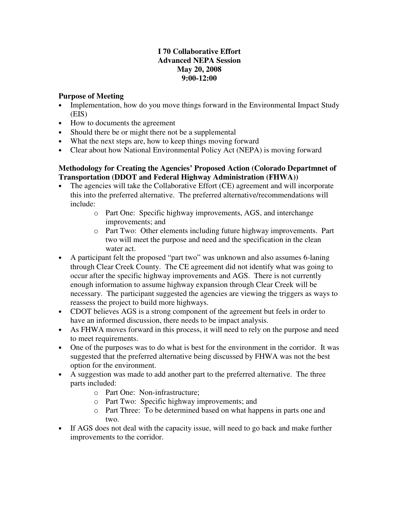# **I 70 Collaborative Effort Advanced NEPA Session May 20, 2008 9:00-12:00**

# **Purpose of Meeting**

- Implementation, how do you move things forward in the Environmental Impact Study (EIS)
- How to documents the agreement
- Should there be or might there not be a supplemental
- What the next steps are, how to keep things moving forward
- Clear about how National Environmental Policy Act (NEPA) is moving forward

# **Methodology for Creating the Agencies' Proposed Action (Colorado Departmnet of Transportation (DDOT and Federal Highway Administration (FHWA))**

- The agencies will take the Collaborative Effort (CE) agreement and will incorporate this into the preferred alternative. The preferred alternative/recommendations will include:
	- o Part One: Specific highway improvements, AGS, and interchange improvements; and
	- o Part Two: Other elements including future highway improvements. Part two will meet the purpose and need and the specification in the clean water act.
- A participant felt the proposed "part two" was unknown and also assumes 6-laning through Clear Creek County. The CE agreement did not identify what was going to occur after the specific highway improvements and AGS. There is not currently enough information to assume highway expansion through Clear Creek will be necessary. The participant suggested the agencies are viewing the triggers as ways to reassess the project to build more highways.
- CDOT believes AGS is a strong component of the agreement but feels in order to have an informed discussion, there needs to be impact analysis.
- As FHWA moves forward in this process, it will need to rely on the purpose and need to meet requirements.
- One of the purposes was to do what is best for the environment in the corridor. It was suggested that the preferred alternative being discussed by FHWA was not the best option for the environment.
- A suggestion was made to add another part to the preferred alternative. The three parts included:
	- o Part One: Non-infrastructure;
	- o Part Two: Specific highway improvements; and
	- o Part Three: To be determined based on what happens in parts one and two.
- If AGS does not deal with the capacity issue, will need to go back and make further improvements to the corridor.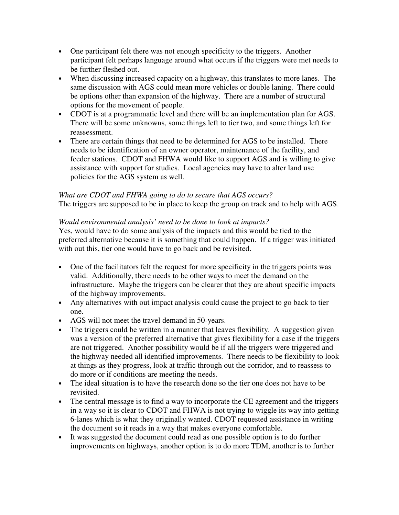- One participant felt there was not enough specificity to the triggers. Another participant felt perhaps language around what occurs if the triggers were met needs to be further fleshed out.
- When discussing increased capacity on a highway, this translates to more lanes. The same discussion with AGS could mean more vehicles or double laning. There could be options other than expansion of the highway. There are a number of structural options for the movement of people.
- CDOT is at a programmatic level and there will be an implementation plan for AGS. There will be some unknowns, some things left to tier two, and some things left for reassessment.
- There are certain things that need to be determined for AGS to be installed. There needs to be identification of an owner operator, maintenance of the facility, and feeder stations. CDOT and FHWA would like to support AGS and is willing to give assistance with support for studies. Local agencies may have to alter land use policies for the AGS system as well.

## *What are CDOT and FHWA going to do to secure that AGS occurs?*

The triggers are supposed to be in place to keep the group on track and to help with AGS.

### *Would environmental analysis' need to be done to look at impacts?*

Yes, would have to do some analysis of the impacts and this would be tied to the preferred alternative because it is something that could happen. If a trigger was initiated with out this, tier one would have to go back and be revisited.

- One of the facilitators felt the request for more specificity in the triggers points was valid. Additionally, there needs to be other ways to meet the demand on the infrastructure. Maybe the triggers can be clearer that they are about specific impacts of the highway improvements.
- Any alternatives with out impact analysis could cause the project to go back to tier one.
- AGS will not meet the travel demand in 50-years.
- The triggers could be written in a manner that leaves flexibility. A suggestion given was a version of the preferred alternative that gives flexibility for a case if the triggers are not triggered. Another possibility would be if all the triggers were triggered and the highway needed all identified improvements. There needs to be flexibility to look at things as they progress, look at traffic through out the corridor, and to reassess to do more or if conditions are meeting the needs.
- The ideal situation is to have the research done so the tier one does not have to be revisited.
- The central message is to find a way to incorporate the CE agreement and the triggers in a way so it is clear to CDOT and FHWA is not trying to wiggle its way into getting 6-lanes which is what they originally wanted. CDOT requested assistance in writing the document so it reads in a way that makes everyone comfortable.
- It was suggested the document could read as one possible option is to do further improvements on highways, another option is to do more TDM, another is to further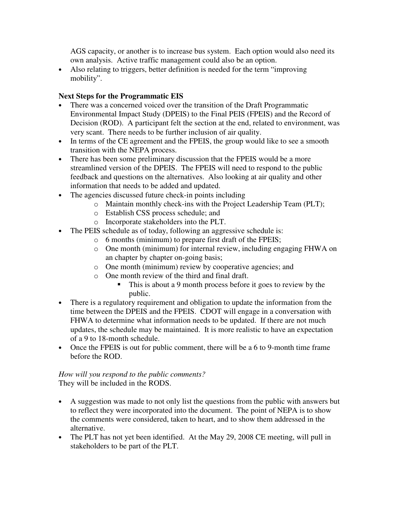AGS capacity, or another is to increase bus system. Each option would also need its own analysis. Active traffic management could also be an option.

• Also relating to triggers, better definition is needed for the term "improving" mobility".

# **Next Steps for the Programmatic EIS**

- There was a concerned voiced over the transition of the Draft Programmatic Environmental Impact Study (DPEIS) to the Final PEIS (FPEIS) and the Record of Decision (ROD). A participant felt the section at the end, related to environment, was very scant. There needs to be further inclusion of air quality.
- In terms of the CE agreement and the FPEIS, the group would like to see a smooth transition with the NEPA process.
- There has been some preliminary discussion that the FPEIS would be a more streamlined version of the DPEIS. The FPEIS will need to respond to the public feedback and questions on the alternatives. Also looking at air quality and other information that needs to be added and updated.
- The agencies discussed future check-in points including
	- o Maintain monthly check-ins with the Project Leadership Team (PLT);
	- o Establish CSS process schedule; and
	- o Incorporate stakeholders into the PLT.
- The PEIS schedule as of today, following an aggressive schedule is:
	- o 6 months (minimum) to prepare first draft of the FPEIS;
	- o One month (minimum) for internal review, including engaging FHWA on an chapter by chapter on-going basis;
	- o One month (minimum) review by cooperative agencies; and
	- o One month review of the third and final draft.
		- This is about a 9 month process before it goes to review by the public.
- There is a regulatory requirement and obligation to update the information from the time between the DPEIS and the FPEIS. CDOT will engage in a conversation with FHWA to determine what information needs to be updated. If there are not much updates, the schedule may be maintained. It is more realistic to have an expectation of a 9 to 18-month schedule.
- Once the FPEIS is out for public comment, there will be a 6 to 9-month time frame before the ROD.

## *How will you respond to the public comments?* They will be included in the RODS.

- A suggestion was made to not only list the questions from the public with answers but to reflect they were incorporated into the document. The point of NEPA is to show the comments were considered, taken to heart, and to show them addressed in the alternative.
- The PLT has not yet been identified. At the May 29, 2008 CE meeting, will pull in stakeholders to be part of the PLT.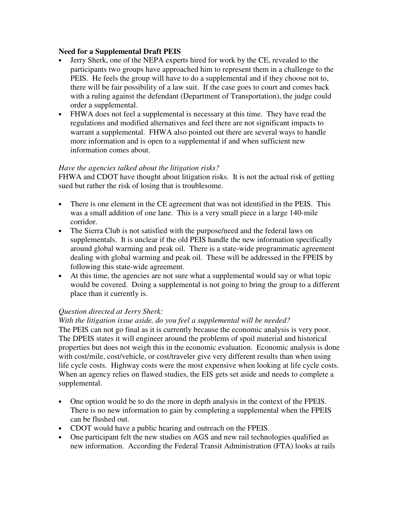### **Need for a Supplemental Draft PEIS**

- Jerry Sherk, one of the NEPA experts hired for work by the CE, revealed to the participants two groups have approached him to represent them in a challenge to the PEIS. He feels the group will have to do a supplemental and if they choose not to, there will be fair possibility of a law suit. If the case goes to court and comes back with a ruling against the defendant (Department of Transportation), the judge could order a supplemental.
- FHWA does not feel a supplemental is necessary at this time. They have read the regulations and modified alternatives and feel there are not significant impacts to warrant a supplemental. FHWA also pointed out there are several ways to handle more information and is open to a supplemental if and when sufficient new information comes about.

## *Have the agencies talked about the litigation risks?*

FHWA and CDOT have thought about litigation risks. It is not the actual risk of getting sued but rather the risk of losing that is troublesome.

- There is one element in the CE agreement that was not identified in the PEIS. This was a small addition of one lane. This is a very small piece in a large 140-mile corridor.
- The Sierra Club is not satisfied with the purpose/need and the federal laws on supplementals. It is unclear if the old PEIS handle the new information specifically around global warming and peak oil. There is a state-wide programmatic agreement dealing with global warming and peak oil. These will be addressed in the FPEIS by following this state-wide agreement.
- At this time, the agencies are not sure what a supplemental would say or what topic would be covered. Doing a supplemental is not going to bring the group to a different place than it currently is.

### *Question directed at Jerry Sherk:*

### *With the litigation issue aside, do you feel a supplemental will be needed?*

The PEIS can not go final as it is currently because the economic analysis is very poor. The DPEIS states it will engineer around the problems of spoil material and historical properties but does not weigh this in the economic evaluation. Economic analysis is done with cost/mile, cost/vehicle, or cost/traveler give very different results than when using life cycle costs. Highway costs were the most expensive when looking at life cycle costs. When an agency relies on flawed studies, the EIS gets set aside and needs to complete a supplemental.

- One option would be to do the more in depth analysis in the context of the FPEIS. There is no new information to gain by completing a supplemental when the FPEIS can be flushed out.
- CDOT would have a public hearing and outreach on the FPEIS.
- One participant felt the new studies on AGS and new rail technologies qualified as new information. According the Federal Transit Administration (FTA) looks at rails